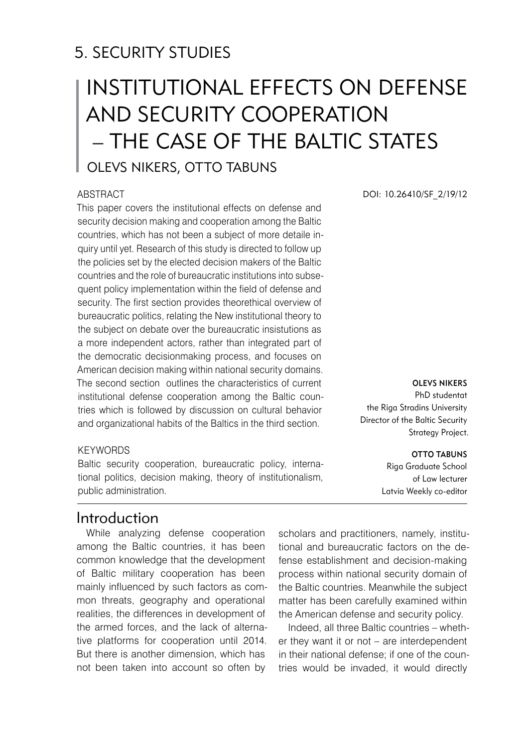# 5. SECURITY STUDIES

# Institutional effects on defense and security cooperation – the case of the Baltic States

## Olevs Nikers, Otto Tabuns

#### ABSTRACT

This paper covers the institutional effects on defense and security decision making and cooperation among the Baltic countries, which has not been a subject of more detaile inquiry until yet. Research of this study is directed to follow up the policies set by the elected decision makers of the Baltic countries and the role of bureaucratic institutions into subsequent policy implementation within the field of defense and security. The first section provides theorethical overview of bureaucratic politics, relating the New institutional theory to the subject on debate over the bureaucratic insistutions as a more independent actors, rather than integrated part of the democratic decisionmaking process, and focuses on American decision making within national security domains. The second section outlines the characteristics of current institutional defense cooperation among the Baltic countries which is followed by discussion on cultural behavior and organizational habits of the Baltics in the third section.

#### **KEYWORDS**

Baltic security cooperation, bureaucratic policy, international politics, decision making, theory of institutionalism, public administration.

## Introduction

While analyzing defense cooperation among the Baltic countries, it has been common knowledge that the development of Baltic military cooperation has been mainly influenced by such factors as common threats, geography and operational realities, the differences in development of the armed forces, and the lack of alternative platforms for cooperation until 2014. But there is another dimension, which has not been taken into account so often by

scholars and practitioners, namely, institutional and bureaucratic factors on the defense establishment and decision-making process within national security domain of the Baltic countries. Meanwhile the subject matter has been carefully examined within the American defense and security policy.

Indeed, all three Baltic countries – whether they want it or not – are interdependent in their national defense; if one of the countries would be invaded, it would directly

DOI: 10.26410/SF\_2/19/12

#### Olevs Nikers

PhD studentat the Riga Stradins University Director of the Baltic Security Strategy Project.

#### **OTTO TABUNS**

Riga Graduate School of Law lecturer Latvia Weekly co-editor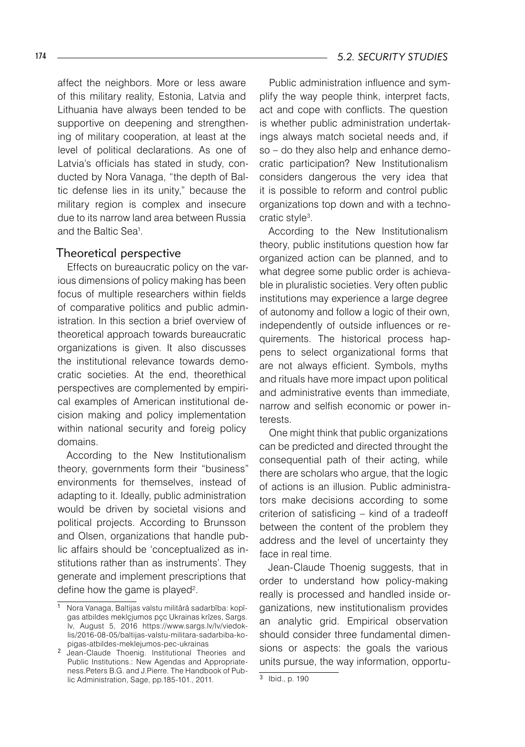affect the neighbors. More or less aware of this military reality, Estonia, Latvia and Lithuania have always been tended to be supportive on deepening and strengthening of military cooperation, at least at the level of political declarations. As one of Latvia's officials has stated in study, conducted by Nora Vanaga, "the depth of Baltic defense lies in its unity," because the military region is complex and insecure due to its narrow land area between Russia and the Baltic Sea<sup>1</sup>.

#### Theoretical perspective

Effects on bureaucratic policy on the various dimensions of policy making has been focus of multiple researchers within fields of comparative politics and public administration. In this section a brief overview of theoretical approach towards bureaucratic organizations is given. It also discusses the institutional relevance towards democratic societies. At the end, theorethical perspectives are complemented by empirical examples of American institutional decision making and policy implementation within national security and foreig policy domains.

According to the New Institutionalism theory, governments form their "business" environments for themselves, instead of adapting to it. Ideally, public administration would be driven by societal visions and political projects. According to Brunsson and Olsen, organizations that handle public affairs should be 'conceptualized as institutions rather than as instruments'. They generate and implement prescriptions that define how the game is played $2$ .

Public administration influence and symplify the way people think, interpret facts, act and cope with conflicts. The question is whether public administration undertakings always match societal needs and, if so – do they also help and enhance democratic participation? New Institutionalism considers dangerous the very idea that it is possible to reform and control public organizations top down and with a technocratic style .

According to the New Institutionalism theory, public institutions question how far organized action can be planned, and to what degree some public order is achievable in pluralistic societies. Very often public institutions may experience a large degree of autonomy and follow a logic of their own, independently of outside influences or requirements. The historical process happens to select organizational forms that are not always efficient. Symbols, myths and rituals have more impact upon political and administrative events than immediate, narrow and selfish economic or power interests.

One might think that public organizations can be predicted and directed throught the consequential path of their acting, while there are scholars who argue, that the logic of actions is an illusion. Public administrators make decisions according to some criterion of satisficing – kind of a tradeoff between the content of the problem they address and the level of uncertainty they face in real time.

Jean-Claude Thoenig suggests, that in order to understand how policy-making really is processed and handled inside organizations, new institutionalism provides an analytic grid. Empirical observation should consider three fundamental dimensions or aspects: the goals the various units pursue, the way information, opportu-

Nora Vanaga, Baltijas valstu militârâ sadarbîba: kopîgas atbildes meklçjumos pçc Ukrainas krîzes, Sargs. lv, August 5, 2016 https://www.sargs.lv/lv/viedoklis/2016-08-05/baltijas-valstu-militara-sadarbiba-kopigas-atbildes-meklejumos-pec-ukrainas

Jean-Claude Thoenig. Institutional Theories and Public Institutions.: New Agendas and Appropriateness.Peters B.G. and J.Pierre. The Handbook of Public Administration, Sage, pp.185-101., 2011.

 $\frac{1}{3}$  Ibid., p. 190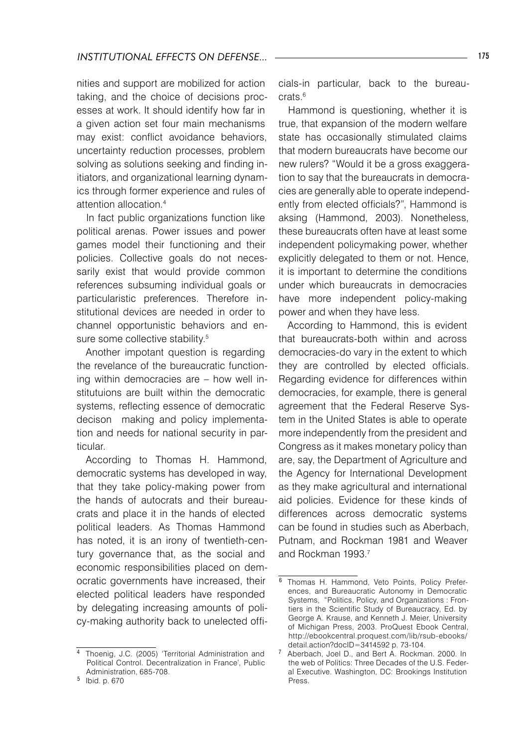### *Institutional effects on defense...* 175

nities and support are mobilized for action taking, and the choice of decisions processes at work. It should identify how far in a given action set four main mechanisms may exist: conflict avoidance behaviors, uncertainty reduction processes, problem solving as solutions seeking and finding initiators, and organizational learning dynamics through former experience and rules of attention allocation.

In fact public organizations function like political arenas. Power issues and power games model their functioning and their policies. Collective goals do not necessarily exist that would provide common references subsuming individual goals or particularistic preferences. Therefore institutional devices are needed in order to channel opportunistic behaviors and ensure some collective stability.<sup>5</sup>

Another impotant question is regarding the revelance of the bureaucratic functioning within democracies are – how well institutuions are built within the democratic systems, reflecting essence of democratic decison making and policy implementation and needs for national security in particular.

According to Thomas H. Hammond, democratic systems has developed in way, that they take policy-making power from the hands of autocrats and their bureaucrats and place it in the hands of elected political leaders. As Thomas Hammond has noted, it is an irony of twentieth-century governance that, as the social and economic responsibilities placed on democratic governments have increased, their elected political leaders have responded by delegating increasing amounts of policy-making authority back to unelected officials-in particular, back to the bureaucrats.<sup>6</sup>

Hammond is questioning, whether it is true, that expansion of the modern welfare state has occasionally stimulated claims that modern bureaucrats have become our new rulers? "Would it be a gross exaggeration to say that the bureaucrats in democracies are generally able to operate independently from elected officials?", Hammond is aksing (Hammond, 2003). Nonetheless, these bureaucrats often have at least some independent policymaking power, whether explicitly delegated to them or not. Hence, it is important to determine the conditions under which bureaucrats in democracies have more independent policy-making power and when they have less.

According to Hammond, this is evident that bureaucrats-both within and across democracies-do vary in the extent to which they are controlled by elected officials. Regarding evidence for differences within democracies, for example, there is general agreement that the Federal Reserve System in the United States is able to operate more independently from the president and Congress as it makes monetary policy than are, say, the Department of Agriculture and the Agency for International Development as they make agricultural and international aid policies. Evidence for these kinds of differences across democratic systems can be found in studies such as Aberbach, Putnam, and Rockman 1981 and Weaver and Rockman 1993.

Thoenig, J.C. (2005) 'Territorial Administration and Political Control. Decentralization in France', Public Administration, 685-708.

<sup>&</sup>lt;sup>5</sup> Ibid. p. 670

<sup>6</sup> Thomas H. Hammond, Veto Points, Policy Preferences, and Bureaucratic Autonomy in Democratic Systems, "Politics, Policy, and Organizations : Frontiers in the Scientific Study of Bureaucracy, Ed. by George A. Krause, and Kenneth J. Meier, University of Michigan Press, 2003. ProQuest Ebook Central, http://ebookcentral.proquest.com/lib/rsub-ebooks/ detail.action?docID=3414592 p. 73-104.

Aberbach, Joel D., and Bert A. Rockman. 2000. In the web of Politics: Three Decades of the U.S. Federal Executive. Washington, DC: Brookings Institution Press.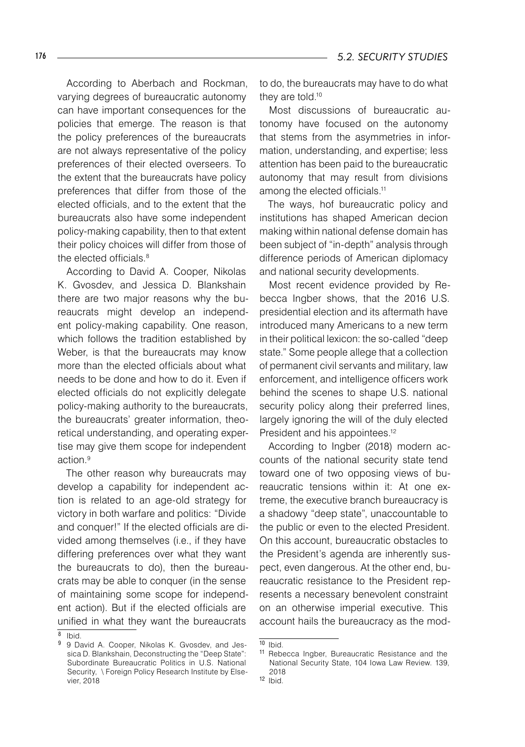According to Aberbach and Rockman, varying degrees of bureaucratic autonomy can have important consequences for the policies that emerge. The reason is that the policy preferences of the bureaucrats are not always representative of the policy preferences of their elected overseers. To the extent that the bureaucrats have policy preferences that differ from those of the elected officials, and to the extent that the bureaucrats also have some independent policy-making capability, then to that extent their policy choices will differ from those of the elected officials.<sup>8</sup>

According to David A. Cooper, Nikolas K. Gvosdev, and Jessica D. Blankshain there are two major reasons why the bureaucrats might develop an independent policy-making capability. One reason, which follows the tradition established by Weber, is that the bureaucrats may know more than the elected officials about what needs to be done and how to do it. Even if elected officials do not explicitly delegate policy-making authority to the bureaucrats, the bureaucrats' greater information, theoretical understanding, and operating expertise may give them scope for independent action.

The other reason why bureaucrats may develop a capability for independent action is related to an age-old strategy for victory in both warfare and politics: "Divide and conquer!" If the elected officials are divided among themselves (i.e., if they have differing preferences over what they want the bureaucrats to do), then the bureaucrats may be able to conquer (in the sense of maintaining some scope for independent action). But if the elected officials are unified in what they want the bureaucrats

to do, the bureaucrats may have to do what they are told.<sup>10</sup>

Most discussions of bureaucratic autonomy have focused on the autonomy that stems from the asymmetries in information, understanding, and expertise; less attention has been paid to the bureaucratic autonomy that may result from divisions among the elected officials.<sup>11</sup>

The ways, hof bureaucratic policy and institutions has shaped American decion making within national defense domain has been subject of "in-depth" analysis through difference periods of American diplomacy and national security developments.

Most recent evidence provided by Rebecca Ingber shows, that the 2016 U.S. presidential election and its aftermath have introduced many Americans to a new term in their political lexicon: the so-called "deep state." Some people allege that a collection of permanent civil servants and military, law enforcement, and intelligence officers work behind the scenes to shape U.S. national security policy along their preferred lines, largely ignoring the will of the duly elected President and his appointees.<sup>12</sup>

According to Ingber (2018) modern accounts of the national security state tend toward one of two opposing views of bureaucratic tensions within it: At one extreme, the executive branch bureaucracy is a shadowy "deep state", unaccountable to the public or even to the elected President. On this account, bureaucratic obstacles to the President's agenda are inherently suspect, even dangerous. At the other end, bureaucratic resistance to the President represents a necessary benevolent constraint on an otherwise imperial executive. This account hails the bureaucracy as the mod-

 $8$  Ibid.

<sup>9 9</sup> David A. Cooper, Nikolas K. Gvosdev, and Jessica D. Blankshain, Deconstructing the "Deep State": Subordinate Bureaucratic Politics in U.S. National Security, \ Foreign Policy Research Institute by Elsevier, 2018

 $10$  Ibid.

<sup>11</sup> Rebecca Ingber, Bureaucratic Resistance and the National Security State, 104 Iowa Law Review. 139, 2018

<sup>12</sup> Ibid.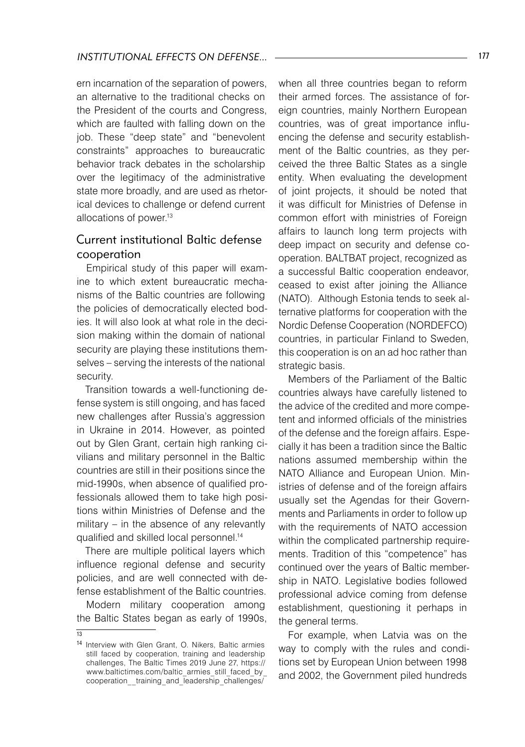ern incarnation of the separation of powers, an alternative to the traditional checks on the President of the courts and Congress, which are faulted with falling down on the job. These "deep state" and "benevolent constraints" approaches to bureaucratic behavior track debates in the scholarship over the legitimacy of the administrative state more broadly, and are used as rhetorical devices to challenge or defend current allocations of power.<sup>13</sup>

### Current institutional Baltic defense cooperation

Empirical study of this paper will examine to which extent bureaucratic mechanisms of the Baltic countries are following the policies of democratically elected bodies. It will also look at what role in the decision making within the domain of national security are playing these institutions themselves – serving the interests of the national security.

Transition towards a well-functioning defense system is still ongoing, and has faced new challenges after Russia's aggression in Ukraine in 2014. However, as pointed out by Glen Grant, certain high ranking civilians and military personnel in the Baltic countries are still in their positions since the mid-1990s, when absence of qualified professionals allowed them to take high positions within Ministries of Defense and the military – in the absence of any relevantly qualified and skilled local personnel.14

There are multiple political layers which influence regional defense and security policies, and are well connected with defense establishment of the Baltic countries.

Modern military cooperation among the Baltic States began as early of 1990s,

 $\overline{13}$ 

when all three countries began to reform their armed forces. The assistance of foreign countries, mainly Northern European countries, was of great importance influencing the defense and security establishment of the Baltic countries, as they perceived the three Baltic States as a single entity. When evaluating the development of ioint projects, it should be noted that it was difficult for Ministries of Defense in common effort with ministries of Foreign affairs to launch long term projects with deep impact on security and defense cooperation. BALTBAT project, recognized as a successful Baltic cooperation endeavor, ceased to exist after joining the Alliance (NATO). Although Estonia tends to seek alternative platforms for cooperation with the Nordic Defense Cooperation (NORDEFCO) countries, in particular Finland to Sweden, this cooperation is on an ad hoc rather than strategic basis.

Members of the Parliament of the Baltic countries always have carefully listened to the advice of the credited and more competent and informed officials of the ministries of the defense and the foreign affairs. Especially it has been a tradition since the Baltic nations assumed membership within the NATO Alliance and European Union. Ministries of defense and of the foreign affairs usually set the Agendas for their Governments and Parliaments in order to follow up with the requirements of NATO accession within the complicated partnership requirements. Tradition of this "competence" has continued over the years of Baltic membership in NATO. Legislative bodies followed professional advice coming from defense establishment, questioning it perhaps in the general terms.

For example, when Latvia was on the way to comply with the rules and conditions set by European Union between 1998 and 2002, the Government piled hundreds

<sup>14</sup> Interview with Glen Grant, O. Nikers, Baltic armies still faced by cooperation, training and leadership challenges, The Baltic Times 2019 June 27, https:// www.baltictimes.com/baltic\_armies\_still\_faced\_by\_ cooperation\_\_training\_and\_leadership\_challenges/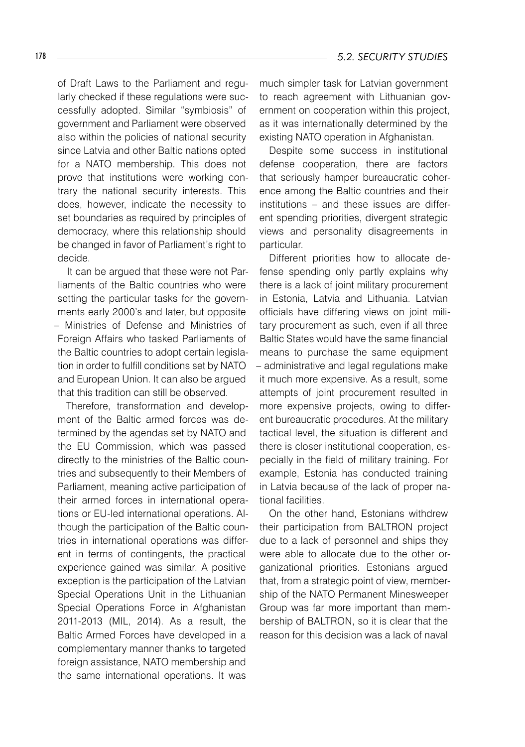of Draft Laws to the Parliament and regularly checked if these regulations were successfully adopted. Similar "symbiosis" of government and Parliament were observed also within the policies of national security since Latvia and other Baltic nations opted for a NATO membership. This does not prove that institutions were working contrary the national security interests. This does, however, indicate the necessity to set boundaries as required by principles of democracy, where this relationship should be changed in favor of Parliament's right to decide.

It can be argued that these were not Parliaments of the Baltic countries who were setting the particular tasks for the governments early 2000's and later, but opposite – Ministries of Defense and Ministries of Foreign Affairs who tasked Parliaments of the Baltic countries to adopt certain legislation in order to fulfill conditions set by NATO and European Union. It can also be argued that this tradition can still be observed.

Therefore, transformation and development of the Baltic armed forces was determined by the agendas set by NATO and the EU Commission, which was passed directly to the ministries of the Baltic countries and subsequently to their Members of Parliament, meaning active participation of their armed forces in international operations or EU-led international operations. Although the participation of the Baltic countries in international operations was different in terms of contingents, the practical experience gained was similar. A positive exception is the participation of the Latvian Special Operations Unit in the Lithuanian Special Operations Force in Afghanistan 2011-2013 (MIL, 2014). As a result, the Baltic Armed Forces have developed in a complementary manner thanks to targeted foreign assistance, NATO membership and the same international operations. It was

much simpler task for Latvian government to reach agreement with Lithuanian government on cooperation within this project, as it was internationally determined by the existing NATO operation in Afghanistan.

Despite some success in institutional defense cooperation, there are factors that seriously hamper bureaucratic coherence among the Baltic countries and their institutions – and these issues are different spending priorities, divergent strategic views and personality disagreements in particular.

Different priorities how to allocate defense spending only partly explains why there is a lack of joint military procurement in Estonia, Latvia and Lithuania. Latvian officials have differing views on joint military procurement as such, even if all three Baltic States would have the same financial means to purchase the same equipment – administrative and legal regulations make it much more expensive. As a result, some attempts of joint procurement resulted in more expensive projects, owing to different bureaucratic procedures. At the military tactical level, the situation is different and there is closer institutional cooperation, especially in the field of military training. For example, Estonia has conducted training in Latvia because of the lack of proper national facilities.

On the other hand, Estonians withdrew their participation from BALTRON project due to a lack of personnel and ships they were able to allocate due to the other organizational priorities. Estonians argued that, from a strategic point of view, membership of the NATO Permanent Minesweeper Group was far more important than membership of BALTRON, so it is clear that the reason for this decision was a lack of naval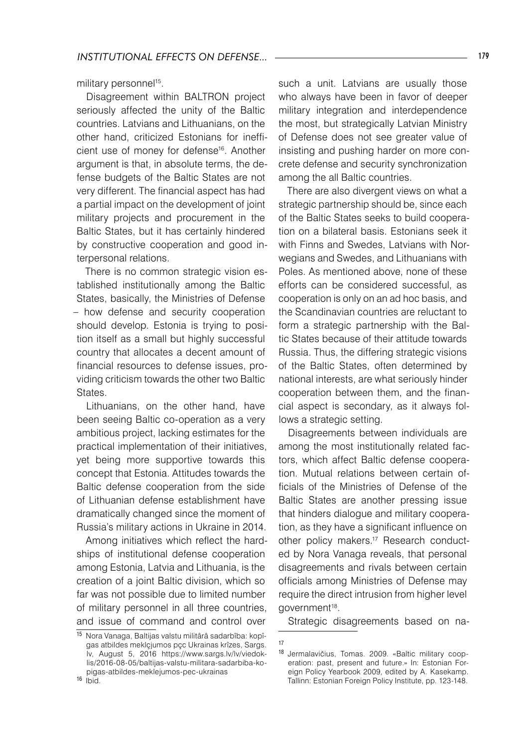military personnel<sup>15</sup>.

Disagreement within BALTRON project seriously affected the unity of the Baltic countries. Latvians and Lithuanians, on the other hand, criticized Estonians for inefficient use of money for defense16. Another argument is that, in absolute terms, the defense budgets of the Baltic States are not very different. The financial aspect has had a partial impact on the development of joint military projects and procurement in the Baltic States, but it has certainly hindered by constructive cooperation and good interpersonal relations.

There is no common strategic vision established institutionally among the Baltic States, basically, the Ministries of Defense – how defense and security cooperation should develop. Estonia is trying to position itself as a small but highly successful country that allocates a decent amount of financial resources to defense issues, providing criticism towards the other two Baltic States.

Lithuanians, on the other hand, have been seeing Baltic co-operation as a very ambitious project, lacking estimates for the practical implementation of their initiatives, yet being more supportive towards this concept that Estonia. Attitudes towards the Baltic defense cooperation from the side of Lithuanian defense establishment have dramatically changed since the moment of Russia's military actions in Ukraine in 2014.

Among initiatives which reflect the hardships of institutional defense cooperation among Estonia, Latvia and Lithuania, is the creation of a joint Baltic division, which so far was not possible due to limited number of military personnel in all three countries, and issue of command and control over

such a unit. Latvians are usually those who always have been in favor of deeper military integration and interdependence the most, but strategically Latvian Ministry of Defense does not see greater value of insisting and pushing harder on more concrete defense and security synchronization among the all Baltic countries.

There are also divergent views on what a strategic partnership should be, since each of the Baltic States seeks to build cooperation on a bilateral basis. Estonians seek it with Finns and Swedes, Latvians with Norwegians and Swedes, and Lithuanians with Poles. As mentioned above, none of these efforts can be considered successful, as cooperation is only on an ad hoc basis, and the Scandinavian countries are reluctant to form a strategic partnership with the Baltic States because of their attitude towards Russia. Thus, the differing strategic visions of the Baltic States, often determined by national interests, are what seriously hinder cooperation between them, and the financial aspect is secondary, as it always follows a strategic setting.

Disagreements between individuals are among the most institutionally related factors, which affect Baltic defense cooperation. Mutual relations between certain officials of the Ministries of Defense of the Baltic States are another pressing issue that hinders dialogue and military cooperation, as they have a significant influence on other policy makers.<sup>17</sup> Research conducted by Nora Vanaga reveals, that personal disagreements and rivals between certain officials among Ministries of Defense may require the direct intrusion from higher level government<sup>18</sup>.

Strategic disagreements based on na-

<sup>15</sup> Nora Vanaga, Baltijas valstu militârâ sadarbîba: kopîgas atbildes meklçjumos pçc Ukrainas krîzes, Sargs. lv, August 5, 2016 https://www.sargs.lv/lv/viedoklis/2016-08-05/baltijas-valstu-militara-sadarbiba-kopigas-atbildes-meklejumos-pec-ukrainas  $16$   $ibid.$ 

<sup>17</sup>

<sup>18</sup> Jermalavičius, Tomas. 2009. «Baltic military cooperation: past, present and future.» In: Estonian Foreign Policy Yearbook 2009, edited by A. Kasekamp. Tallinn: Estonian Foreign Policy Institute, pp. 123-148.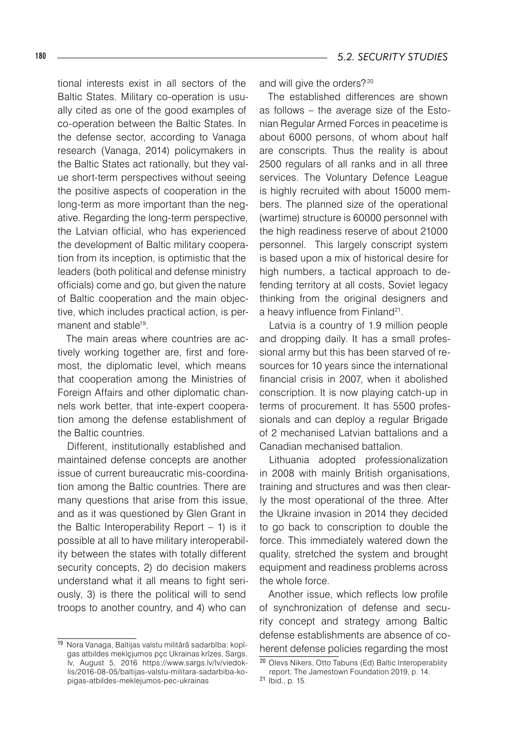tional interests exist in all sectors of the Baltic States. Military co-operation is usually cited as one of the good examples of co-operation between the Baltic States. In the defense sector, according to Vanaga research (Vanaga, 2014) policymakers in the Baltic States act rationally, but they value short-term perspectives without seeing the positive aspects of cooperation in the long-term as more important than the negative. Regarding the long-term perspective, the Latvian official, who has experienced the development of Baltic military cooperation from its inception, is optimistic that the leaders (both political and defense ministry officials) come and go, but given the nature of Baltic cooperation and the main objective, which includes practical action, is permanent and stable<sup>19</sup>.

The main areas where countries are actively working together are, first and foremost, the diplomatic level, which means that cooperation among the Ministries of Foreign Affairs and other diplomatic channels work better, that inte-expert cooperation among the defense establishment of the Baltic countries.

Different, institutionally established and maintained defense concepts are another issue of current bureaucratic mis-coordination among the Baltic countries. There are many questions that arise from this issue, and as it was questioned by Glen Grant in the Baltic Interoperability Report – 1) is it possible at all to have military interoperability between the states with totally different security concepts, 2) do decision makers understand what it all means to fight seriously, 3) is there the political will to send troops to another country, and 4) who can

and will give the orders?<sup>20</sup>

The established differences are shown as follows – the average size of the Estonian Regular Armed Forces in peacetime is about 6000 persons, of whom about half are conscripts. Thus the reality is about 2500 regulars of all ranks and in all three services. The Voluntary Defence League is highly recruited with about 15000 members. The planned size of the operational (wartime) structure is 60000 personnel with the high readiness reserve of about 21000 personnel. This largely conscript system is based upon a mix of historical desire for high numbers, a tactical approach to defending territory at all costs, Soviet legacy thinking from the original designers and a heavy influence from Finland<sup>21</sup>.

Latvia is a country of 1.9 million people and dropping daily. It has a small professional army but this has been starved of resources for 10 years since the international financial crisis in 2007, when it abolished conscription. It is now playing catch-up in terms of procurement. It has 5500 professionals and can deploy a regular Brigade of 2 mechanised Latvian battalions and a Canadian mechanised battalion.

Lithuania adopted professionalization in 2008 with mainly British organisations, training and structures and was then clearly the most operational of the three. After the Ukraine invasion in 2014 they decided to go back to conscription to double the force. This immediately watered down the quality, stretched the system and brought equipment and readiness problems across the whole force.

Another issue, which reflects low profile of synchronization of defense and security concept and strategy among Baltic defense establishments are absence of coherent defense policies regarding the most

<sup>19</sup> Nora Vanaga, Baltijas valstu militârâ sadarbîba: kopîgas atbildes meklçjumos pçc Ukrainas krîzes, Sargs. lv, August 5, 2016 https://www.sargs.lv/lv/viedoklis/2016-08-05/baltijas-valstu-militara-sadarbiba-kopigas-atbildes-meklejumos-pec-ukrainas

<sup>20</sup> Olevs Nikers, Otto Tabuns (Ed) Baltic Interoperablity report, The Jamestown Foundation 2019, p. 14.

<sup>21</sup> Ibid., p. 15.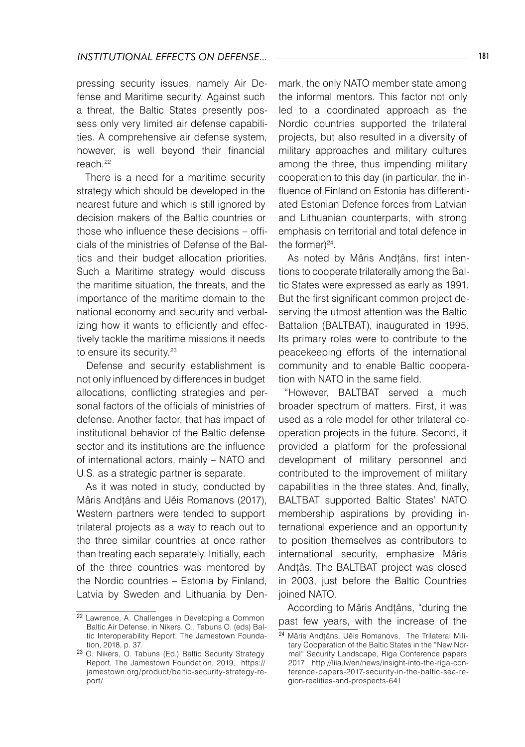pressing security issues, namely Air Defense and Maritime security. Against such a threat, the Baltic States presently possess only very limited air defense capabilities. A comprehensive air defense system, however, is well beyond their financial reach.22

There is a need for a maritime security strategy which should be developed in the nearest future and which is still ignored by decision makers of the Baltic countries or those who influence these decisions – officials of the ministries of Defense of the Baltics and their budget allocation priorities. Such a Maritime strategy would discuss the maritime situation, the threats, and the importance of the maritime domain to the national economy and security and verbalizing how it wants to efficiently and effectively tackle the maritime missions it needs to ensure its security.<sup>23</sup>

Defense and security establishment is not only influenced by differences in budget allocations, conflicting strategies and personal factors of the officials of ministries of defense. Another factor, that has impact of institutional behavior of the Baltic defense sector and its institutions are the influence of international actors, mainly – NATO and U.S. as a strategic partner is separate.

As it was noted in study, conducted by Mâris Andțâns and Uěis Romanovs (2017), Western partners were tended to support trilateral projects as a way to reach out to the three similar countries at once rather than treating each separately. Initially, each of the three countries was mentored by the Nordic countries – Estonia by Finland, Latvia by Sweden and Lithuania by Denmark, the only NATO member state among the informal mentors. This factor not only led to a coordinated approach as the Nordic countries supported the trilateral projects, but also resulted in a diversity of military approaches and military cultures among the three, thus impending military cooperation to this day (in particular, the influence of Finland on Estonia has differentiated Estonian Defence forces from Latvian and Lithuanian counterparts, with strong emphasis on territorial and total defence in the former)<sup>24</sup>.

As noted by Mâris Andțâns, first intentions to cooperate trilaterally among the Baltic States were expressed as early as 1991. But the first significant common project deserving the utmost attention was the Baltic Battalion (BALTBAT), inaugurated in 1995. Its primary roles were to contribute to the peacekeeping efforts of the international community and to enable Baltic cooperation with NATO in the same field.

"However, BALTBAT served a much broader spectrum of matters. First, it was used as a role model for other trilateral cooperation projects in the future. Second, it provided a platform for the professional development of military personnel and contributed to the improvement of military capabilities in the three states. And, finally, BALTBAT supported Baltic States' NATO membership aspirations by providing international experience and an opportunity to position themselves as contributors to international security, emphasize Mâris Andțâs. The BALTBAT project was closed in 2003, just before the Baltic Countries joined NATO.

According to Mâris Andțâns, "during the past few years, with the increase of the

<sup>22</sup> Lawrence, A. Challenges in Developing a Common Baltic Air Defense, in Nikers. O., Tabuns O. (eds) Baltic Interoperability Report, The Jamestown Foundation, 2018, p. 37.

<sup>23</sup> O. Nikers, O. Tabuns (Ed.) Baltic Security Strategy Report, The Jamestown Foundation, 2019, https:// jamestown.org/product/baltic-security-strategy-report/

<sup>24</sup> Mâris Andțâns, Uěis Romanovs, The Trilateral Military Cooperation of the Baltic States in the "New Normal" Security Landscape, Riga Conference papers 2017 http://liia.lv/en/news/insight-into-the-riga-conference-papers-2017-security-in-the-baltic-sea-region-realities-and-prospects-641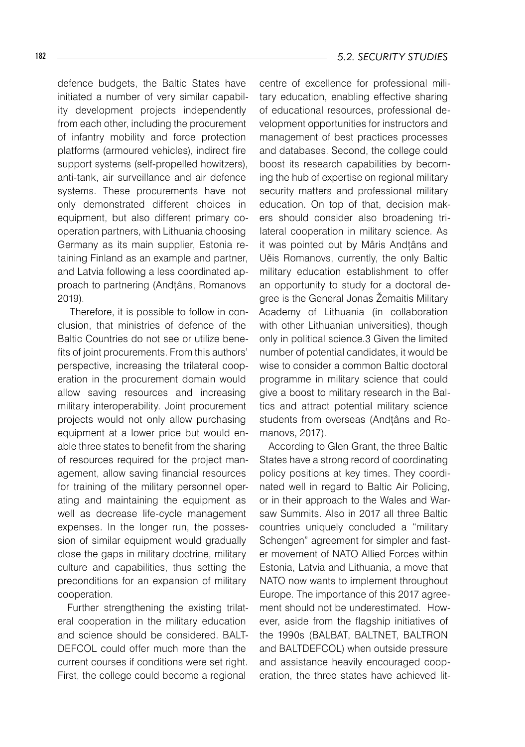defence budgets, the Baltic States have initiated a number of very similar capability development projects independently from each other, including the procurement of infantry mobility and force protection platforms (armoured vehicles), indirect fire support systems (self-propelled howitzers), anti-tank, air surveillance and air defence systems. These procurements have not only demonstrated different choices in equipment, but also different primary cooperation partners, with Lithuania choosing Germany as its main supplier, Estonia retaining Finland as an example and partner, and Latvia following a less coordinated approach to partnering (Andțâns, Romanovs 2019).

 Therefore, it is possible to follow in conclusion, that ministries of defence of the Baltic Countries do not see or utilize benefits of joint procurements. From this authors' perspective, increasing the trilateral cooperation in the procurement domain would allow saving resources and increasing military interoperability. Joint procurement projects would not only allow purchasing equipment at a lower price but would enable three states to benefit from the sharing of resources required for the project management, allow saving financial resources for training of the military personnel operating and maintaining the equipment as well as decrease life-cycle management expenses. In the longer run, the possession of similar equipment would gradually close the gaps in military doctrine, military culture and capabilities, thus setting the preconditions for an expansion of military cooperation.

Further strengthening the existing trilateral cooperation in the military education and science should be considered. BALT-DEFCOL could offer much more than the current courses if conditions were set right. First, the college could become a regional

centre of excellence for professional military education, enabling effective sharing of educational resources, professional development opportunities for instructors and management of best practices processes and databases. Second, the college could boost its research capabilities by becoming the hub of expertise on regional military security matters and professional military education. On top of that, decision makers should consider also broadening trilateral cooperation in military science. As it was pointed out by Mâris Andțâns and Uěis Romanovs, currently, the only Baltic military education establishment to offer an opportunity to study for a doctoral degree is the General Jonas Žemaitis Military Academy of Lithuania (in collaboration with other Lithuanian universities), though only in political science.3 Given the limited number of potential candidates, it would be wise to consider a common Baltic doctoral programme in military science that could give a boost to military research in the Baltics and attract potential military science students from overseas (Andțâns and Romanovs, 2017).

According to Glen Grant, the three Baltic States have a strong record of coordinating policy positions at key times. They coordinated well in regard to Baltic Air Policing, or in their approach to the Wales and Warsaw Summits. Also in 2017 all three Baltic countries uniquely concluded a "military Schengen" agreement for simpler and faster movement of NATO Allied Forces within Estonia, Latvia and Lithuania, a move that NATO now wants to implement throughout Europe. The importance of this 2017 agreement should not be underestimated. However, aside from the flagship initiatives of the 1990s (BALBAT, BALTNET, BALTRON and BALTDEFCOL) when outside pressure and assistance heavily encouraged cooperation, the three states have achieved lit-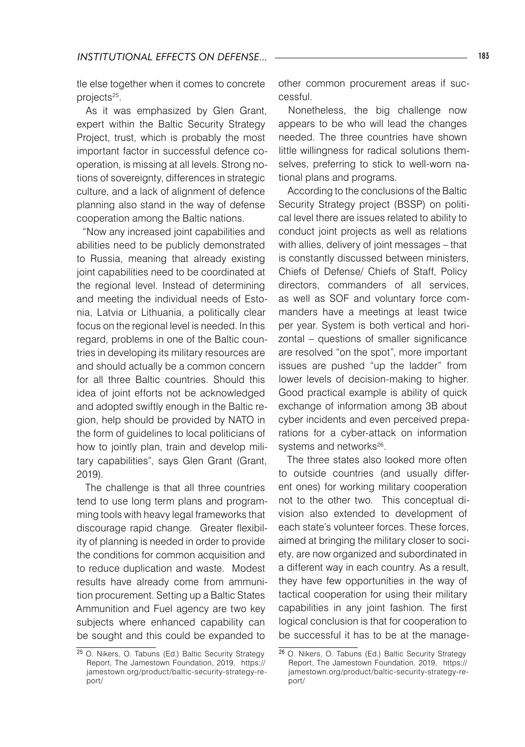tle else together when it comes to concrete projects<sup>25</sup>.

As it was emphasized by Glen Grant, expert within the Baltic Security Strategy Project, trust, which is probably the most important factor in successful defence cooperation, is missing at all levels. Strong notions of sovereignty, differences in strategic culture, and a lack of alignment of defence planning also stand in the way of defense cooperation among the Baltic nations.

"Now any increased joint capabilities and abilities need to be publicly demonstrated to Russia, meaning that already existing joint capabilities need to be coordinated at the regional level. Instead of determining and meeting the individual needs of Estonia, Latvia or Lithuania, a politically clear focus on the regional level is needed. In this regard, problems in one of the Baltic countries in developing its military resources are and should actually be a common concern for all three Baltic countries. Should this idea of joint efforts not be acknowledged and adopted swiftly enough in the Baltic region, help should be provided by NATO in the form of guidelines to local politicians of how to jointly plan, train and develop military capabilities", says Glen Grant (Grant, 2019).

The challenge is that all three countries tend to use long term plans and programming tools with heavy legal frameworks that discourage rapid change. Greater flexibility of planning is needed in order to provide the conditions for common acquisition and to reduce duplication and waste. Modest results have already come from ammunition procurement. Setting up a Baltic States Ammunition and Fuel agency are two key subjects where enhanced capability can be sought and this could be expanded to

other common procurement areas if successful.

Nonetheless, the big challenge now appears to be who will lead the changes needed. The three countries have shown little willingness for radical solutions themselves, preferring to stick to well-worn national plans and programs.

According to the conclusions of the Baltic Security Strategy project (BSSP) on political level there are issues related to ability to conduct joint projects as well as relations with allies, delivery of joint messages – that is constantly discussed between ministers, Chiefs of Defense/ Chiefs of Staff, Policy directors, commanders of all services, as well as SOF and voluntary force commanders have a meetings at least twice per year. System is both vertical and horizontal – questions of smaller significance are resolved "on the spot", more important issues are pushed "up the ladder" from lower levels of decision-making to higher. Good practical example is ability of quick exchange of information among 3B about cyber incidents and even perceived preparations for a cyber-attack on information systems and networks<sup>26</sup>.

The three states also looked more often to outside countries (and usually different ones) for working military cooperation not to the other two. This conceptual division also extended to development of each state's volunteer forces. These forces, aimed at bringing the military closer to society, are now organized and subordinated in a different way in each country. As a result, they have few opportunities in the way of tactical cooperation for using their military capabilities in any joint fashion. The first logical conclusion is that for cooperation to be successful it has to be at the manage-

<sup>25</sup> O. Nikers, O. Tabuns (Ed.) Baltic Security Strategy Report, The Jamestown Foundation, 2019, https:// jamestown.org/product/baltic-security-strategy-report/

<sup>26</sup> O. Nikers, O. Tabuns (Ed.) Baltic Security Strategy Report, The Jamestown Foundation, 2019, https:// jamestown.org/product/baltic-security-strategy-report/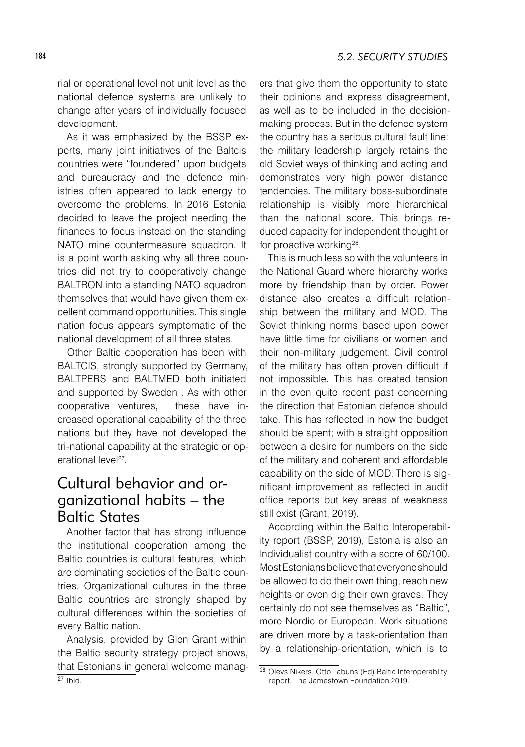rial or operational level not unit level as the national defence systems are unlikely to change after years of individually focused development.

As it was emphasized by the BSSP experts, many joint initiatives of the Baltcis countries were "foundered" upon budgets and bureaucracy and the defence ministries often appeared to lack energy to overcome the problems. In 2016 Estonia decided to leave the project needing the finances to focus instead on the standing NATO mine countermeasure squadron. It is a point worth asking why all three countries did not try to cooperatively change BALTRON into a standing NATO squadron themselves that would have given them excellent command opportunities. This single nation focus appears symptomatic of the national development of all three states.

Other Baltic cooperation has been with BALTCIS, strongly supported by Germany, BALTPERS and BALTMED both initiated and supported by Sweden . As with other cooperative ventures, these have increased operational capability of the three nations but they have not developed the tri-national capability at the strategic or operational level<sup>27</sup>.

# Cultural behavior and organizational habits – the Baltic States

Another factor that has strong influence the institutional cooperation among the Baltic countries is cultural features, which are dominating societies of the Baltic countries. Organizational cultures in the three Baltic countries are strongly shaped by cultural differences within the societies of every Baltic nation.

Analysis, provided by Glen Grant within the Baltic security strategy project shows, that Estonians in general welcome manag-  $27$  Ibid.

ers that give them the opportunity to state their opinions and express disagreement, as well as to be included in the decisionmaking process. But in the defence system the country has a serious cultural fault line: the military leadership largely retains the old Soviet ways of thinking and acting and demonstrates very high power distance tendencies. The military boss-subordinate relationship is visibly more hierarchical than the national score. This brings reduced capacity for independent thought or for proactive working<sup>28</sup>.

This is much less so with the volunteers in the National Guard where hierarchy works more by friendship than by order. Power distance also creates a difficult relationship between the military and MOD. The Soviet thinking norms based upon power have little time for civilians or women and their non-military judgement. Civil control of the military has often proven difficult if not impossible. This has created tension in the even quite recent past concerning the direction that Estonian defence should take. This has reflected in how the budget should be spent; with a straight opposition between a desire for numbers on the side of the military and coherent and affordable capability on the side of MOD. There is significant improvement as reflected in audit office reports but key areas of weakness still exist (Grant, 2019).

According within the Baltic Interoperability report (BSSP, 2019), Estonia is also an Individualist country with a score of 60/100. Most Estonians believe that everyone should be allowed to do their own thing, reach new heights or even dig their own graves. They certainly do not see themselves as "Baltic", more Nordic or European. Work situations are driven more by a task-orientation than by a relationship-orientation, which is to

<sup>28</sup> Olevs Nikers, Otto Tabuns (Ed) Baltic Interoperablity report, The Jamestown Foundation 2019.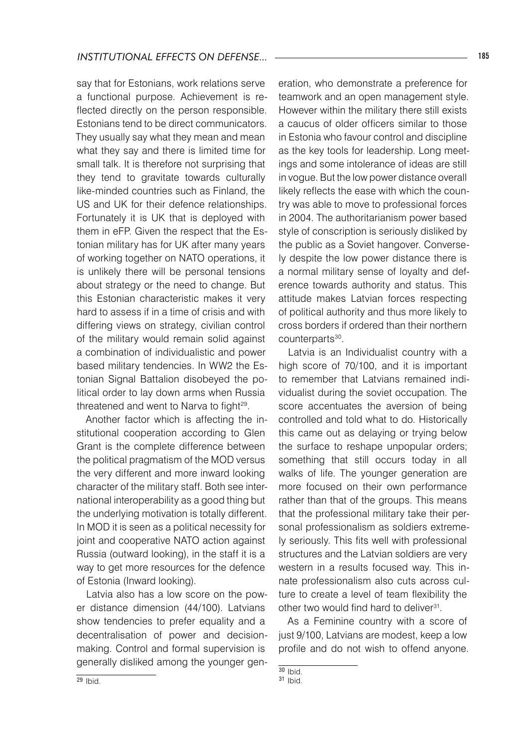say that for Estonians, work relations serve a functional purpose. Achievement is reflected directly on the person responsible. Estonians tend to be direct communicators. They usually say what they mean and mean what they say and there is limited time for small talk. It is therefore not surprising that they tend to gravitate towards culturally like-minded countries such as Finland, the US and UK for their defence relationships. Fortunately it is UK that is deployed with them in eFP. Given the respect that the Estonian military has for UK after many years of working together on NATO operations, it is unlikely there will be personal tensions about strategy or the need to change. But this Estonian characteristic makes it very hard to assess if in a time of crisis and with differing views on strategy, civilian control of the military would remain solid against a combination of individualistic and power based military tendencies. In WW2 the Estonian Signal Battalion disobeyed the political order to lay down arms when Russia threatened and went to Narva to fight $29$ .

Another factor which is affecting the institutional cooperation according to Glen Grant is the complete difference between the political pragmatism of the MOD versus the very different and more inward looking character of the military staff. Both see international interoperability as a good thing but the underlying motivation is totally different. In MOD it is seen as a political necessity for joint and cooperative NATO action against Russia (outward looking), in the staff it is a way to get more resources for the defence of Estonia (Inward looking).

Latvia also has a low score on the power distance dimension (44/100). Latvians show tendencies to prefer equality and a decentralisation of power and decisionmaking. Control and formal supervision is generally disliked among the younger generation, who demonstrate a preference for teamwork and an open management style. However within the military there still exists a caucus of older officers similar to those in Estonia who favour control and discipline as the key tools for leadership. Long meetings and some intolerance of ideas are still in vogue. But the low power distance overall likely reflects the ease with which the country was able to move to professional forces in 2004. The authoritarianism power based style of conscription is seriously disliked by the public as a Soviet hangover. Conversely despite the low power distance there is a normal military sense of loyalty and deference towards authority and status. This attitude makes Latvian forces respecting of political authority and thus more likely to cross borders if ordered than their northern counterparts<sup>30</sup>.

Latvia is an Individualist country with a high score of 70/100, and it is important to remember that Latvians remained individualist during the soviet occupation. The score accentuates the aversion of being controlled and told what to do. Historically this came out as delaying or trying below the surface to reshape unpopular orders; something that still occurs today in all walks of life. The younger generation are more focused on their own performance rather than that of the groups. This means that the professional military take their personal professionalism as soldiers extremely seriously. This fits well with professional structures and the Latvian soldiers are very western in a results focused way. This innate professionalism also cuts across culture to create a level of team flexibility the other two would find hard to deliver<sup>31</sup>.

As a Feminine country with a score of just 9/100, Latvians are modest, keep a low profile and do not wish to offend anyone.

 $30$  Ibid.

<sup>31</sup> Ibid.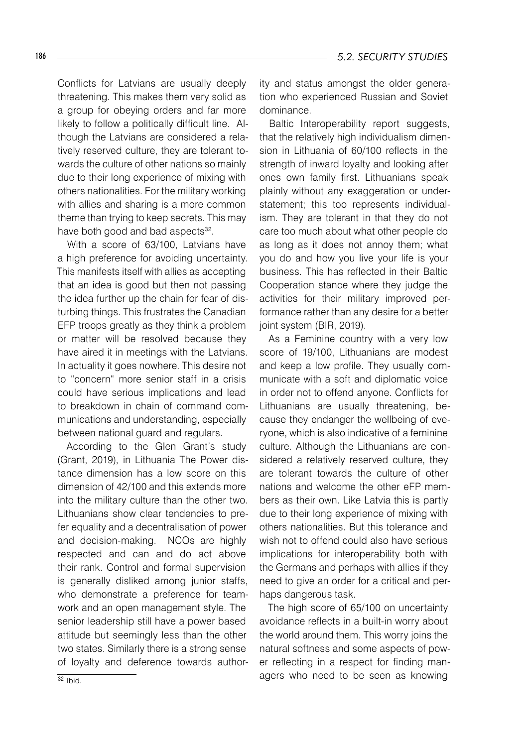Conflicts for Latvians are usually deeply threatening. This makes them very solid as a group for obeying orders and far more likely to follow a politically difficult line. Although the Latvians are considered a relatively reserved culture, they are tolerant towards the culture of other nations so mainly due to their long experience of mixing with others nationalities. For the military working with allies and sharing is a more common theme than trying to keep secrets. This may have both good and bad aspects<sup>32</sup>.

With a score of 63/100, Latvians have a high preference for avoiding uncertainty. This manifests itself with allies as accepting that an idea is good but then not passing the idea further up the chain for fear of disturbing things. This frustrates the Canadian EFP troops greatly as they think a problem or matter will be resolved because they have aired it in meetings with the Latvians. In actuality it goes nowhere. This desire not to "concern" more senior staff in a crisis could have serious implications and lead to breakdown in chain of command communications and understanding, especially between national guard and regulars.

According to the Glen Grant's study (Grant, 2019), in Lithuania The Power distance dimension has a low score on this dimension of 42/100 and this extends more into the military culture than the other two. Lithuanians show clear tendencies to prefer equality and a decentralisation of power and decision-making. NCOs are highly respected and can and do act above their rank. Control and formal supervision is generally disliked among junior staffs, who demonstrate a preference for teamwork and an open management style. The senior leadership still have a power based attitude but seemingly less than the other two states. Similarly there is a strong sense of loyalty and deference towards authority and status amongst the older generation who experienced Russian and Soviet dominance.

Baltic Interoperability report suggests, that the relatively high individualism dimension in Lithuania of 60/100 reflects in the strength of inward loyalty and looking after ones own family first. Lithuanians speak plainly without any exaggeration or understatement; this too represents individualism. They are tolerant in that they do not care too much about what other people do as long as it does not annoy them; what you do and how you live your life is your business. This has reflected in their Baltic Cooperation stance where they judge the activities for their military improved performance rather than any desire for a better joint system (BIR, 2019).

As a Feminine country with a very low score of 19/100, Lithuanians are modest and keep a low profile. They usually communicate with a soft and diplomatic voice in order not to offend anyone. Conflicts for Lithuanians are usually threatening, because they endanger the wellbeing of everyone, which is also indicative of a feminine culture. Although the Lithuanians are considered a relatively reserved culture, they are tolerant towards the culture of other nations and welcome the other eFP members as their own. Like Latvia this is partly due to their long experience of mixing with others nationalities. But this tolerance and wish not to offend could also have serious implications for interoperability both with the Germans and perhaps with allies if they need to give an order for a critical and perhaps dangerous task.

The high score of 65/100 on uncertainty avoidance reflects in a built-in worry about the world around them. This worry joins the natural softness and some aspects of power reflecting in a respect for finding managers who need to be seen as knowing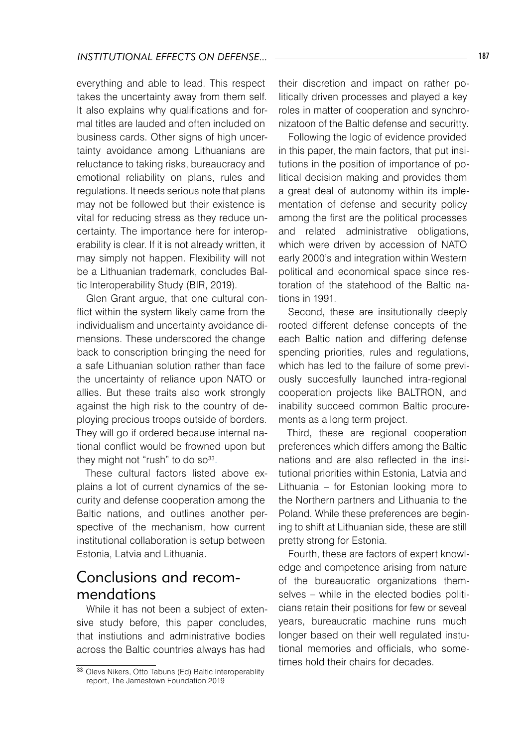everything and able to lead. This respect takes the uncertainty away from them self. It also explains why qualifications and formal titles are lauded and often included on business cards. Other signs of high uncertainty avoidance among Lithuanians are reluctance to taking risks, bureaucracy and emotional reliability on plans, rules and regulations. It needs serious note that plans may not be followed but their existence is vital for reducing stress as they reduce uncertainty. The importance here for interoperability is clear. If it is not already written, it may simply not happen. Flexibility will not be a Lithuanian trademark, concludes Baltic Interoperability Study (BIR, 2019).

Glen Grant argue, that one cultural conflict within the system likely came from the individualism and uncertainty avoidance dimensions. These underscored the change back to conscription bringing the need for a safe Lithuanian solution rather than face the uncertainty of reliance upon NATO or allies. But these traits also work strongly against the high risk to the country of deploying precious troops outside of borders. They will go if ordered because internal national conflict would be frowned upon but they might not "rush" to do so $33$ .

These cultural factors listed above explains a lot of current dynamics of the security and defense cooperation among the Baltic nations, and outlines another perspective of the mechanism, how current institutional collaboration is setup between Estonia, Latvia and Lithuania.

### Conclusions and recommendations

While it has not been a subject of extensive study before, this paper concludes, that instiutions and administrative bodies across the Baltic countries always has had

their discretion and impact on rather politically driven processes and played a key roles in matter of cooperation and synchronizatoon of the Baltic defense and securitty.

Following the logic of evidence provided in this paper, the main factors, that put insitutions in the position of importance of political decision making and provides them a great deal of autonomy within its implementation of defense and security policy among the first are the political processes and related administrative obligations, which were driven by accession of NATO early 2000's and integration within Western political and economical space since restoration of the statehood of the Baltic nations in 1991.

Second, these are insitutionally deeply rooted different defense concepts of the each Baltic nation and differing defense spending priorities, rules and regulations, which has led to the failure of some previously succesfully launched intra-regional cooperation projects like BALTRON, and inability succeed common Baltic procurements as a long term project.

Third, these are regional cooperation preferences which differs among the Baltic nations and are also reflected in the insitutional priorities within Estonia, Latvia and Lithuania – for Estonian looking more to the Northern partners and Lithuania to the Poland. While these preferences are begining to shift at Lithuanian side, these are still pretty strong for Estonia.

Fourth, these are factors of expert knowledge and competence arising from nature of the bureaucratic organizations themselves – while in the elected bodies politicians retain their positions for few or seveal years, bureaucratic machine runs much longer based on their well regulated instutional memories and officials, who sometimes hold their chairs for decades.

<sup>33</sup> Olevs Nikers, Otto Tabuns (Ed) Baltic Interoperablity report, The Jamestown Foundation 2019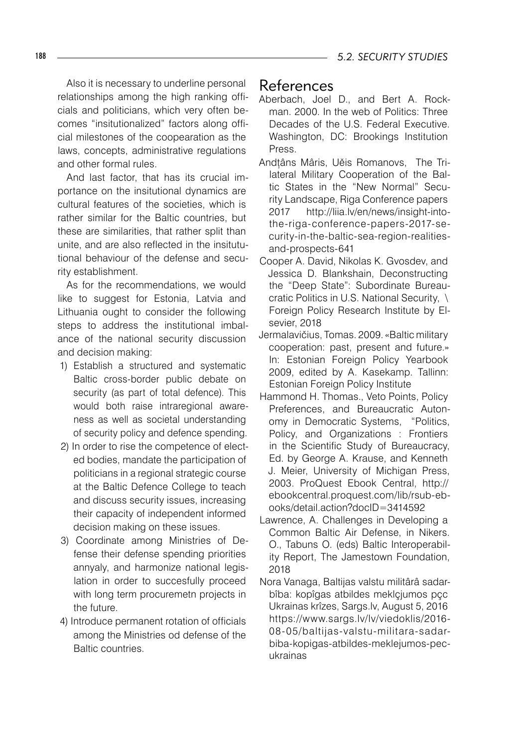Also it is necessary to underline personal relationships among the high ranking officials and politicians, which very often becomes "insitutionalized" factors along official milestones of the coopearation as the laws, concepts, administrative regulations and other formal rules.

And last factor, that has its crucial importance on the insitutional dynamics are cultural features of the societies, which is rather similar for the Baltic countries, but these are similarities, that rather split than unite, and are also reflected in the insitututional behaviour of the defense and security establishment.

As for the recommendations, we would like to suggest for Estonia, Latvia and Lithuania ought to consider the following steps to address the institutional imbalance of the national security discussion and decision making:

- 1) Establish a structured and systematic Baltic cross-border public debate on security (as part of total defence). This would both raise intraregional awareness as well as societal understanding of security policy and defence spending.
- 2) In order to rise the competence of elected bodies, mandate the participation of politicians in a regional strategic course at the Baltic Defence College to teach and discuss security issues, increasing their capacity of independent informed decision making on these issues.
- 3) Coordinate among Ministries of Defense their defense spending priorities annyaly, and harmonize national legislation in order to succesfully proceed with long term procuremetn projects in the future.
- 4) Introduce permanent rotation of officials among the Ministries od defense of the Baltic countries.

### References

- Aberbach, Joel D., and Bert A. Rockman. 2000. In the web of Politics: Three Decades of the U.S. Federal Executive. Washington, DC: Brookings Institution Press.
- Andțâns Mâris, Uěis Romanovs, The Trilateral Military Cooperation of the Baltic States in the "New Normal" Security Landscape, Riga Conference papers 2017 http://liia.lv/en/news/insight-intothe-riga-conference-papers-2017-security-in-the-baltic-sea-region-realitiesand-prospects-641
- Cooper A. David, Nikolas K. Gvosdev, and Jessica D. Blankshain, Deconstructing the "Deep State": Subordinate Bureaucratic Politics in U.S. National Security, \ Foreign Policy Research Institute by Elsevier, 2018
- Jermalavičius, Tomas. 2009. «Baltic military cooperation: past, present and future.» In: Estonian Foreign Policy Yearbook 2009, edited by A. Kasekamp. Tallinn: Estonian Foreign Policy Institute
- Hammond H. Thomas., Veto Points, Policy Preferences, and Bureaucratic Autonomy in Democratic Systems, "Politics, Policy, and Organizations : Frontiers in the Scientific Study of Bureaucracy, Ed. by George A. Krause, and Kenneth J. Meier, University of Michigan Press, 2003. ProQuest Ebook Central, http:// ebookcentral.proquest.com/lib/rsub-ebooks/detail.action?docID=3414592
- Lawrence, A. Challenges in Developing a Common Baltic Air Defense, in Nikers. O., Tabuns O. (eds) Baltic Interoperability Report, The Jamestown Foundation, 2018
- Nora Vanaga, Baltijas valstu militârâ sadarbîba: kopîgas atbildes meklçjumos pçc Ukrainas krîzes, Sargs.lv, August 5, 2016 https://www.sargs.lv/lv/viedoklis/2016- 08-05/baltijas-valstu-militara-sadarbiba-kopigas-atbildes-meklejumos-pecukrainas